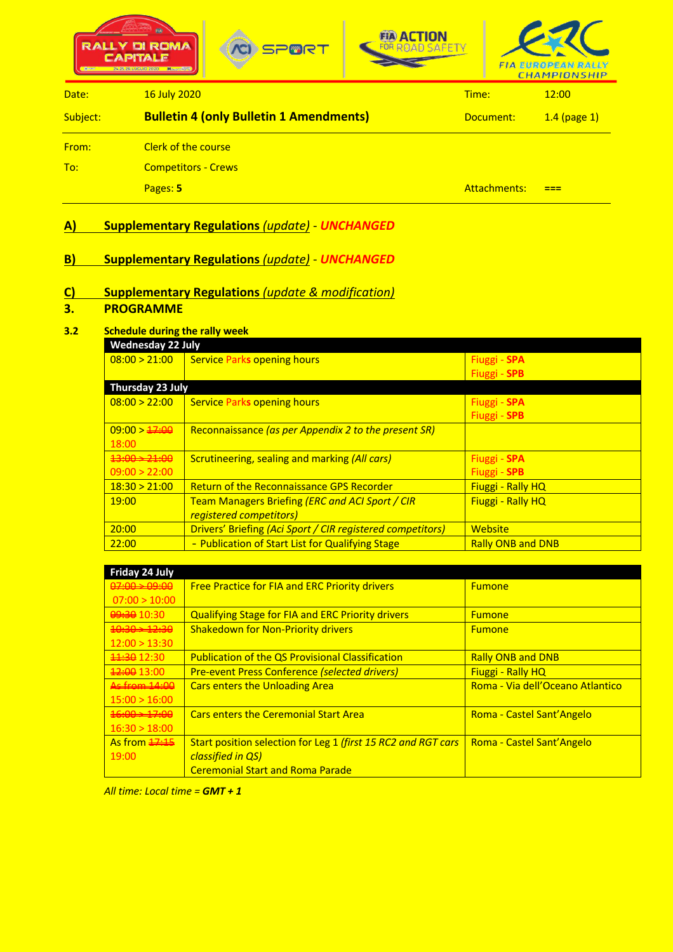





| Date:    | 16 July 2020                                   | Time:        | 12:00          |
|----------|------------------------------------------------|--------------|----------------|
| Subject: | <b>Bulletin 4 (only Bulletin 1 Amendments)</b> | Document:    | $1.4$ (page 1) |
| From:    | <b>Clerk of the course</b>                     |              |                |
| To:      | <b>Competitors - Crews</b>                     |              |                |
|          | Pages: 5                                       | Attachments: | ---            |

## **A) Supplementary Regulations** *(update)* - *UNCHANGED*

## **B) Supplementary Regulations** *(update)* - *UNCHANGED*

## **C) Supplementary Regulations** *(update & modification)*

#### **3. PROGRAMME**

#### **3.2 Schedule during the rally week**

| <b>Wednesday 22 July</b>  |                                                            |                          |
|---------------------------|------------------------------------------------------------|--------------------------|
| 08:00 > 21:00             | <b>Service Parks opening hours</b>                         | Fiuggi - SPA             |
|                           |                                                            | Fiuggi - SPB             |
| Thursday 23 July          |                                                            |                          |
| 08:00 > 22:00             | <b>Service Parks opening hours</b>                         | Fiuggi - SPA             |
|                           |                                                            | Fiuggi - SPB             |
| 09:00 > 17:00             | Reconnaissance (as per Appendix 2 to the present SR)       |                          |
| 18:00                     |                                                            |                          |
| $43:00 \rightarrow 21:00$ | <b>Scrutineering, sealing and marking (All cars)</b>       | Fiuggi - SPA             |
| 09:00 > 22:00             |                                                            | Fiuggi - SPB             |
| 18:30 > 21:00             | <b>Return of the Reconnaissance GPS Recorder</b>           | <b>Fiuggi - Rally HQ</b> |
| 19:00                     | Team Managers Briefing (ERC and ACI Sport / CIR            | <b>Fiuggi - Rally HQ</b> |
|                           | registered competitors)                                    |                          |
| 20:00                     | Drivers' Briefing (Aci Sport / CIR registered competitors) | Website                  |
| 22:00                     | - Publication of Start List for Qualifying Stage           | <b>Rally ONB and DNB</b> |

| Friday 24 July             |                                                               |                                  |
|----------------------------|---------------------------------------------------------------|----------------------------------|
| $0.00 \div 0.00$           | <b>Free Practice for FIA and ERC Priority drivers</b>         | <b>Fumone</b>                    |
| 07:00 > 10:00              |                                                               |                                  |
| 09:30 10:30                | <b>Qualifying Stage for FIA and ERC Priority drivers</b>      | <b>Fumone</b>                    |
| $40:30 \rightarrow 12:30$  | <b>Shakedown for Non-Priority drivers</b>                     | <b>Fumone</b>                    |
| 12:00 > 13:30              |                                                               |                                  |
| $\frac{11.30}{21.30}$      | <b>Publication of the QS Provisional Classification</b>       | <b>Rally ONB and DNB</b>         |
| $\frac{12:00}{13:00}$      | <b>Pre-event Press Conference (selected drivers)</b>          | <b>Fiuggi - Rally HQ</b>         |
| As from 14:00              | <b>Cars enters the Unloading Area</b>                         | Roma - Via dell'Oceano Atlantico |
| 15:00 > 16:00              |                                                               |                                  |
| $46:00 \rightarrow 17:00$  | <b>Cars enters the Ceremonial Start Area</b>                  | Roma - Castel Sant'Angelo        |
| 16:30 > 18:00              |                                                               |                                  |
| As from $\frac{17.15}{12}$ | Start position selection for Leg 1 (first 15 RC2 and RGT cars | <b>Roma - Castel Sant'Angelo</b> |
| 19:00                      | classified in QS)                                             |                                  |
|                            | <b>Ceremonial Start and Roma Parade</b>                       |                                  |

*All time: Local time = GMT + 1*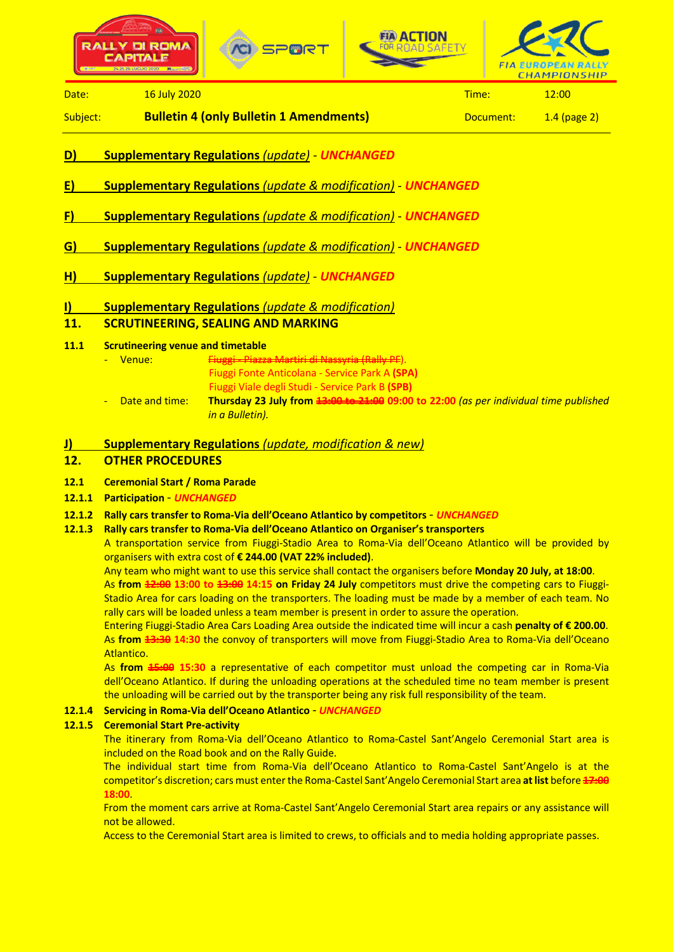





**Date: 16 July 2020 Time: 12:00 Time: 12:00** 

Subject: **Bulletin 4 (only Bulletin 1 Amendments)** Document: 1.4 (page 2)

- **D) Supplementary Regulations** *(update) UNCHANGED*
- **E) Supplementary Regulations** *(update & modification) UNCHANGED*
- **F) Supplementary Regulations** *(update & modification) UNCHANGED*
- **G) Supplementary Regulations** *(update & modification) UNCHANGED*
- **H) Supplementary Regulations** *(update) UNCHANGED*
- **I) Supplementary Regulations** *(update & modification)*

## **11. SCRUTINEERING, SEALING AND MARKING**

- **11.1 Scrutineering venue and timetable**
	- Venue: Fiuggi Pia Fiuggi Fonte Anticolana - Service Park A **(SPA)** Fiuggi Viale degli Studi - Service Park B **(SPB)**
	- Date and time: **Thursday 23 July from 13:00 to 21:00 09:00 to 22:00** *(as per individual time published in a Bulletin).*
- **J) Supplementary Regulations** *(update, modification & new)*

## **12. OTHER PROCEDURES**

### **12.1 Ceremonial Start / Roma Parade**

### **12.1.1 Participation** - *UNCHANGED*

- **12.1.2 Rally cars transfer to Roma-Via dell'Oceano Atlantico by competitors** *UNCHANGED*
- **12.1.3 Rally cars transfer to Roma-Via dell'Oceano Atlantico on Organiser's transporters**

A transportation service from Fiuggi-Stadio Area to Roma-Via dell'Oceano Atlantico will be provided by organisers with extra cost of **€ 244.00 (VAT 22% included)**.

Any team who might want to use this service shall contact the organisers before **Monday 20 July, at 18:00**.

As **from 12:00 13:00 to 13:00 14:15 on Friday 24 July** competitors must drive the competing cars to Fiuggi-Stadio Area for cars loading on the transporters. The loading must be made by a member of each team. No rally cars will be loaded unless a team member is present in order to assure the operation.

Entering Fiuggi-Stadio Area Cars Loading Area outside the indicated time will incur a cash **penalty of € 200.00**. As **from 13:30 14:30** the convoy of transporters will move from Fiuggi-Stadio Area to Roma-Via dell'Oceano **Atlantico** 

As **from 15:00 15:30** a representative of each competitor must unload the competing car in Roma-Via dell'Oceano Atlantico. If during the unloading operations at the scheduled time no team member is present the unloading will be carried out by the transporter being any risk full responsibility of the team.

### **12.1.4 Servicing in Roma-Via dell'Oceano Atlantico** - *UNCHANGED*

### **12.1.5 Ceremonial Start Pre-activity**

The itinerary from Roma-Via dell'Oceano Atlantico to Roma-Castel Sant'Angelo Ceremonial Start area is included on the Road book and on the Rally Guide.

The individual start time from Roma-Via dell'Oceano Atlantico to Roma-Castel Sant'Angelo is at the competitor's discretion; cars must enter the Roma-Castel Sant'Angelo Ceremonial Start area **at list** before **17:00 18:00**.

From the moment cars arrive at Roma-Castel Sant'Angelo Ceremonial Start area repairs or any assistance will not be allowed.

Access to the Ceremonial Start area is limited to crews, to officials and to media holding appropriate passes.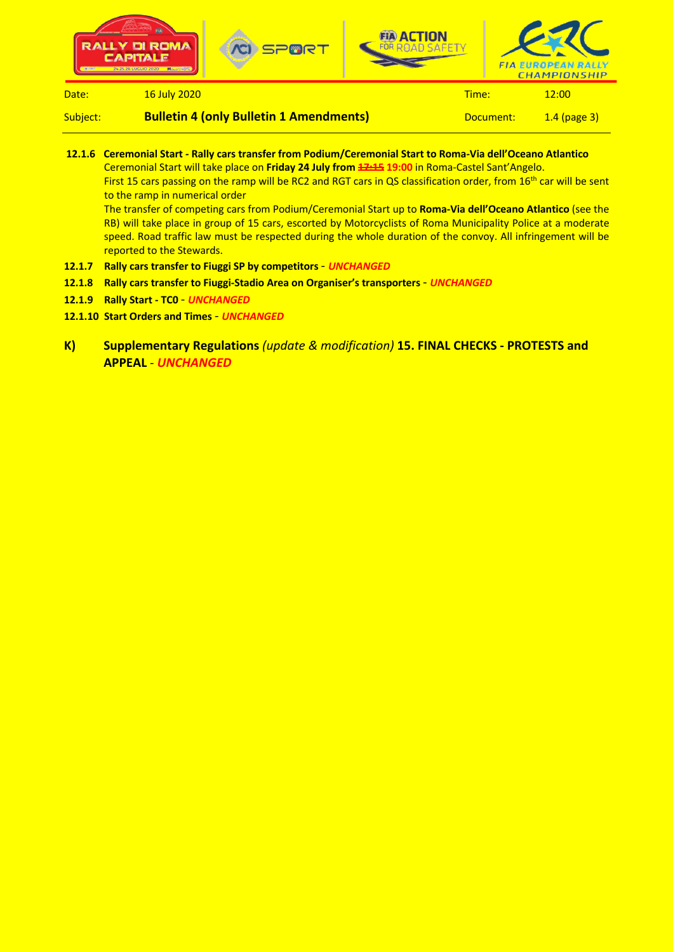

Subject: **Bulletin 4 (only Bulletin 1 Amendments)** Document: 1.4 (page 3)

- **12.1.6 Ceremonial Start - Rally cars transfer from Podium/Ceremonial Start to Roma-Via dell'Oceano Atlantico** Ceremonial Start will take place on **Friday 24 July from 17:15 19:00** in Roma-Castel Sant'Angelo. First 15 cars passing on the ramp will be RC2 and RGT cars in QS classification order, from 16<sup>th</sup> car will be sent to the ramp in numerical order The transfer of competing cars from Podium/Ceremonial Start up to **Roma-Via dell'Oceano Atlantico** (see the RB) will take place in group of 15 cars, escorted by Motorcyclists of Roma Municipality Police at a moderate speed. Road traffic law must be respected during the whole duration of the convoy. All infringement will be reported to the Stewards. **12.1.7 Rally cars transfer to Fiuggi SP by competitors** - *UNCHANGED*
- **12.1.8 Rally cars transfer to Fiuggi-Stadio Area on Organiser's transporters** *UNCHANGED*
- **12.1.9 Rally Start - TC0** *UNCHANGED*
- **12.1.10 Start Orders and Times** *UNCHANGED*
- **K) Supplementary Regulations** *(update & modification)* **15. FINAL CHECKS - PROTESTS and APPEAL** - *UNCHANGED*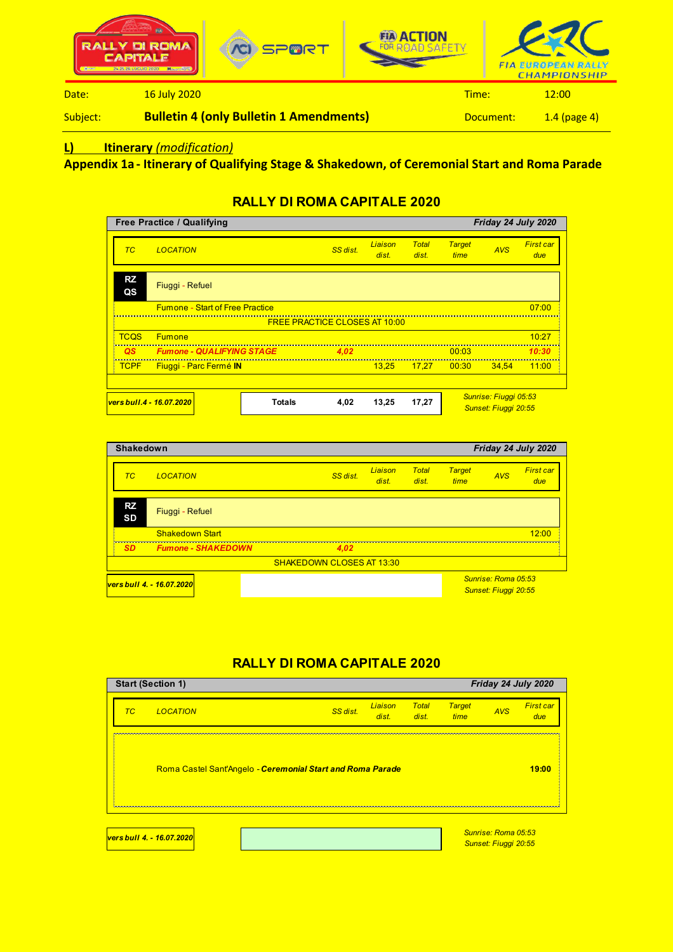

#### Subject: **Bulletin 4 (only Bulletin 1 Amendments)** Document: 1.4 (page 4)

# **L) Itinerary** *(modification)*

**Appendix 1a - Itinerary of Qualifying Stage & Shakedown, of Ceremonial Start and Roma Parade**

# **RALLY DI ROMA CAPITALE 2020**

| <b>Free Practice / Qualifying</b><br>Friday 24 July 2020 |                                        |               |                                      |                         |                       |                       |                                               |                         |
|----------------------------------------------------------|----------------------------------------|---------------|--------------------------------------|-------------------------|-----------------------|-----------------------|-----------------------------------------------|-------------------------|
| TC.                                                      | <b>LOCATION</b>                        |               | SS dist.                             | <b>Liaison</b><br>dist. | <b>Total</b><br>dist. | <b>Target</b><br>time | <b>AVS</b>                                    | <b>First car</b><br>due |
| <b>RZ</b><br>QS                                          | Fiuggi - Refuel                        |               |                                      |                         |                       |                       |                                               |                         |
|                                                          | <b>Fumone - Start of Free Practice</b> |               |                                      |                         |                       |                       |                                               | 07:00                   |
|                                                          |                                        |               | <b>FREE PRACTICE CLOSES AT 10:00</b> |                         |                       |                       |                                               |                         |
| <b>TCQS</b>                                              | <b>Fumone</b>                          |               |                                      |                         |                       |                       |                                               | 10:27                   |
| <b>QS</b>                                                | <b>Fumone - QUALIFYING STAGE</b>       |               | 4.02                                 |                         |                       | 00:03                 |                                               | 10:30                   |
| <b>TCPF</b>                                              | Fiuggi - Parc Fermé IN                 |               |                                      | 13.25                   | 17.27                 | $-00:30$              | 34.54                                         | 11:00                   |
|                                                          |                                        |               |                                      |                         |                       |                       |                                               |                         |
| <u>vers bull.4 - 16.07.2020</u>                          |                                        | <b>Totals</b> | 4,02                                 | 13,25                   | 17,27                 |                       | Sunrise: Fiuggi 05:53<br>Sunset: Fiuggi 20:55 |                         |

| <b>Shakedown</b><br>Friday 24 July 2020 |                           |                                  |                  |                       |                       |                      |                         |
|-----------------------------------------|---------------------------|----------------------------------|------------------|-----------------------|-----------------------|----------------------|-------------------------|
| TC.                                     | <b>LOCATION</b>           | SS dist.                         | Liaison<br>dist. | <b>Total</b><br>dist. | <b>Target</b><br>time | <b>AVS</b>           | <b>First car</b><br>due |
| <b>RZ</b><br><b>SD</b>                  | Fiuggi - Refuel           |                                  |                  |                       |                       |                      |                         |
|                                         | <b>Shakedown Start</b>    |                                  |                  |                       |                       |                      | 12:00                   |
| <b>SD</b>                               | <b>Fumone - SHAKEDOWN</b> | 4,02                             |                  |                       |                       |                      |                         |
|                                         |                           | <b>SHAKEDOWN CLOSES AT 13:30</b> |                  |                       |                       |                      |                         |
|                                         | vers bull 4. - 16.07.2020 |                                  |                  |                       |                       | Sunrise: Roma 05:53  |                         |
|                                         |                           |                                  |                  |                       |                       | Sunset: Fiuggi 20:55 |                         |

# **RALLY DI ROMA CAPITALE 2020**

| <b>Start (Section 1)</b><br>Friday 24 July 2020 |                           |                                                            |                  |                       |                       |                                             |                         |
|-------------------------------------------------|---------------------------|------------------------------------------------------------|------------------|-----------------------|-----------------------|---------------------------------------------|-------------------------|
| TC                                              | <b>LOCATION</b>           | SS dist.                                                   | Liaison<br>dist. | <b>Total</b><br>dist. | <b>Target</b><br>time | <b>AVS</b>                                  | <b>First car</b><br>due |
|                                                 |                           | Roma Castel Sant'Angelo - Ceremonial Start and Roma Parade |                  |                       |                       |                                             | 19:00                   |
|                                                 | vers bull 4. - 16.07.2020 |                                                            |                  |                       |                       | Sunrise: Roma 05:53<br>Sunset: Fiuggi 20:55 |                         |